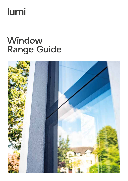# lumi

## Window Range Guide

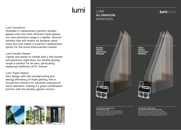### LUMI **ALUMINUM**  WINDOWS



#### **Lumi aluminium double glazed. The great all-rounder.**

Our slimmest ever design, with a fine border and generous sight lines mean it's perfect for all uses. The strength and durability of aluminium make it our most popular current model.

## aluminium

**Lumi aluminium triple glazed. The great all-rounder's perfect partner.** Slim design with the soundproofing and energy efficiency of triple glazing, this window is perfect for windows exposed to harsh elements, making it a great combination partner with the double glazed version.



### Lumi Aluminium

Available in replacement-perfect doubleglazed units and ultra-efficient triple glazed, our new aluminium range is a lighter, slimmer window that still retains its designer good looks but now makes it a perfect replacement option for the home improvement market.

### Lumi Double Glazed

Lighter and easier to handle with a fine border and generous sight lines, our double glazing range is perfect for all uses, particularly replacing traditional uPVC frames.

#### Lumi Triple Glazed

Slim design with the soundproofing and energy efficiency of triple glazing, this is the perfect solution for windows exposed to harsh elements, making it a great combination partner with the double-glazed version.



## lumi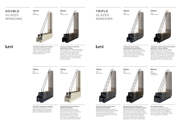**The perfect north-facing, harsh elements large window.**  Triple glazed steel reinforced slimline design, ideal for larger windows exposed to north winds and little sunshine. Perfect for new-build, extension and overexposure replacement. PVC outer, aluminium sash spanning 1m+.

## lumi

**The perfect replacement window.** Steel reinforced slimline design is ideal for brick facing walls with no cavity or reveal. Ideal for single glazed replacement, large format windows spanning 1m+.

Triple glazed thermal reinforced slimline design, ideal for bathroom and kitchen windows exposed to north winds and little sunshine. Five-chamber nylon thermal insert reduces convection, heat loss and steaming up in moist room environments. Perfect for new-build, extension and overexposure replacement. PVC outer, aluminium sash.



## **With** Fibreglass **Construction**

**The perfect north-facing, harsh elements large window.** Triple glazed steel reinforced slimline design, ideal for larger windows exposed to north winds and little sunshine. Perfect for new-build, extension and overexposure replacement. PVC outer,

aluminium sash.

#### **The perfect north-facing, harsh elements bathroom or kitchen window.**

**The perfect kitchen or bathroom replacement window.**

Thermal reinforced slimline design, ideal for smaller bathrooms, en-suites or kitchens. Five-chamber nylon thermal insert reduces convection, heat loss and steaming up in moist room environments. 1m maximum span. PVC outer, strong fibreglass inner and frame means steel insert not required.

#### **72mm With**

### **DOUBLE**  GLAZED WINDOWS

**TRIPLE**  GLAZED WINDOWS





#### **56mm**

With Steel Insert



**56mm**  With Steel Insert



**72mm With** Steel Insert

**lumi** 



**The perfect north-facing, harsh elements bathroom or kitchen window.**  Triple glazed thermal reinforced design, ideal for bathroom and kitchen windows exposed to north winds and little sunshine. Five-chamber nylon thermal insert reduces convection, heat loss and steaming up in moist room environments. Perfect for new-build, extension and overexposure replacement. PVC outer, aluminium sash.



**The perfect replacement window.** Steel reinforced design ideal for brick facing walls with a cavity or reveal. Ideal for single glazed replacement, large format windows spanning 1m+.

#### **The ultimate window.**

The ultimate in energy efficiency, strength, security and sound reducing performance. With an all fibreglass construction that's fully insulated inside and out, it's perfect for large new-builds and very large feature windows.

**The perfect kitchen or bathroom replacement window.**

Thermal reinforced design, ideal for smaller bathrooms, en-suites or kitchens. Five-chamber nylon thermal insert reduces convection, heat loss and steaming up in moist room environments. 1m maximum span. PVC outer, strong fibreglass inner and frame means steel insert not required.

Thermal Insert



**80mm**